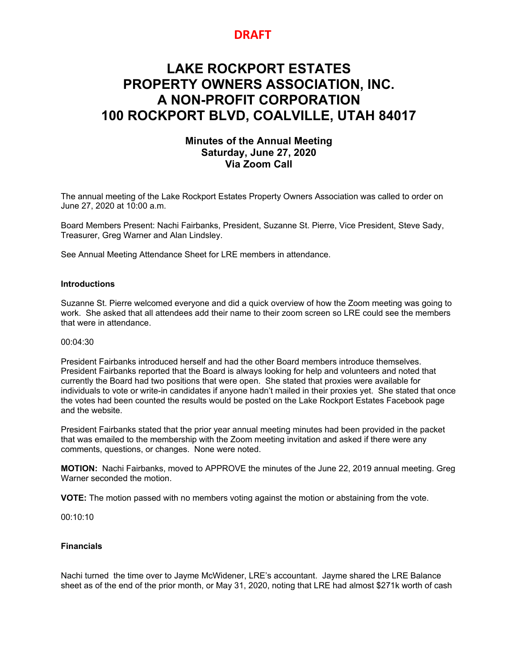## **DRAFT**

# **LAKE ROCKPORT ESTATES PROPERTY OWNERS ASSOCIATION, INC. A NON-PROFIT CORPORATION 100 ROCKPORT BLVD, COALVILLE, UTAH 84017**

### **Minutes of the Annual Meeting Saturday, June 27, 2020 Via Zoom Call**

The annual meeting of the Lake Rockport Estates Property Owners Association was called to order on June 27, 2020 at 10:00 a.m.

Board Members Present: Nachi Fairbanks, President, Suzanne St. Pierre, Vice President, Steve Sady, Treasurer, Greg Warner and Alan Lindsley.

See Annual Meeting Attendance Sheet for LRE members in attendance.

#### **Introductions**

Suzanne St. Pierre welcomed everyone and did a quick overview of how the Zoom meeting was going to work. She asked that all attendees add their name to their zoom screen so LRE could see the members that were in attendance.

#### 00:04:30

President Fairbanks introduced herself and had the other Board members introduce themselves. President Fairbanks reported that the Board is always looking for help and volunteers and noted that currently the Board had two positions that were open. She stated that proxies were available for individuals to vote or write-in candidates if anyone hadn't mailed in their proxies yet. She stated that once the votes had been counted the results would be posted on the Lake Rockport Estates Facebook page and the website.

President Fairbanks stated that the prior year annual meeting minutes had been provided in the packet that was emailed to the membership with the Zoom meeting invitation and asked if there were any comments, questions, or changes. None were noted.

**MOTION:** Nachi Fairbanks, moved to APPROVE the minutes of the June 22, 2019 annual meeting. Greg Warner seconded the motion.

**VOTE:** The motion passed with no members voting against the motion or abstaining from the vote.

00:10:10

#### **Financials**

Nachi turned the time over to Jayme McWidener, LRE's accountant. Jayme shared the LRE Balance sheet as of the end of the prior month, or May 31, 2020, noting that LRE had almost \$271k worth of cash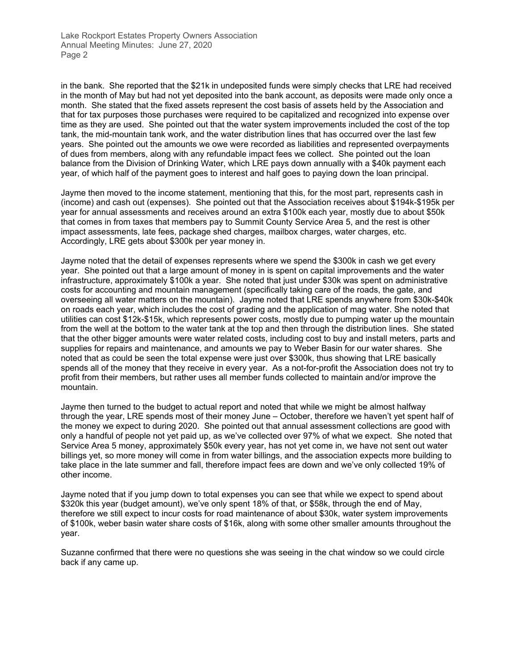in the bank. She reported that the \$21k in undeposited funds were simply checks that LRE had received in the month of May but had not yet deposited into the bank account, as deposits were made only once a month. She stated that the fixed assets represent the cost basis of assets held by the Association and that for tax purposes those purchases were required to be capitalized and recognized into expense over time as they are used. She pointed out that the water system improvements included the cost of the top tank, the mid-mountain tank work, and the water distribution lines that has occurred over the last few years. She pointed out the amounts we owe were recorded as liabilities and represented overpayments of dues from members, along with any refundable impact fees we collect. She pointed out the loan balance from the Division of Drinking Water, which LRE pays down annually with a \$40k payment each year, of which half of the payment goes to interest and half goes to paying down the loan principal.

Jayme then moved to the income statement, mentioning that this, for the most part, represents cash in (income) and cash out (expenses). She pointed out that the Association receives about \$194k-\$195k per year for annual assessments and receives around an extra \$100k each year, mostly due to about \$50k that comes in from taxes that members pay to Summit County Service Area 5, and the rest is other impact assessments, late fees, package shed charges, mailbox charges, water charges, etc. Accordingly, LRE gets about \$300k per year money in.

Jayme noted that the detail of expenses represents where we spend the \$300k in cash we get every year. She pointed out that a large amount of money in is spent on capital improvements and the water infrastructure, approximately \$100k a year. She noted that just under \$30k was spent on administrative costs for accounting and mountain management (specifically taking care of the roads, the gate, and overseeing all water matters on the mountain). Jayme noted that LRE spends anywhere from \$30k-\$40k on roads each year, which includes the cost of grading and the application of mag water. She noted that utilities can cost \$12k-\$15k, which represents power costs, mostly due to pumping water up the mountain from the well at the bottom to the water tank at the top and then through the distribution lines. She stated that the other bigger amounts were water related costs, including cost to buy and install meters, parts and supplies for repairs and maintenance, and amounts we pay to Weber Basin for our water shares. She noted that as could be seen the total expense were just over \$300k, thus showing that LRE basically spends all of the money that they receive in every year. As a not-for-profit the Association does not try to profit from their members, but rather uses all member funds collected to maintain and/or improve the mountain.

Jayme then turned to the budget to actual report and noted that while we might be almost halfway through the year, LRE spends most of their money June – October, therefore we haven't yet spent half of the money we expect to during 2020. She pointed out that annual assessment collections are good with only a handful of people not yet paid up, as we've collected over 97% of what we expect. She noted that Service Area 5 money, approximately \$50k every year, has not yet come in, we have not sent out water billings yet, so more money will come in from water billings, and the association expects more building to take place in the late summer and fall, therefore impact fees are down and we've only collected 19% of other income.

Jayme noted that if you jump down to total expenses you can see that while we expect to spend about \$320k this year (budget amount), we've only spent 18% of that, or \$58k, through the end of May, therefore we still expect to incur costs for road maintenance of about \$30k, water system improvements of \$100k, weber basin water share costs of \$16k, along with some other smaller amounts throughout the year.

Suzanne confirmed that there were no questions she was seeing in the chat window so we could circle back if any came up.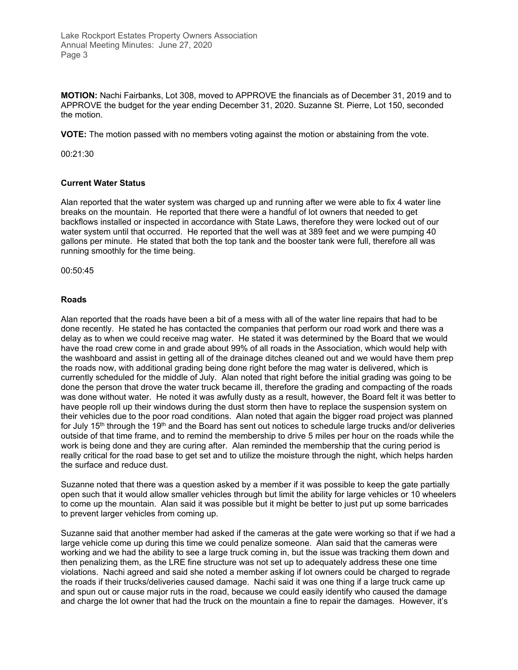**MOTION:** Nachi Fairbanks, Lot 308, moved to APPROVE the financials as of December 31, 2019 and to APPROVE the budget for the year ending December 31, 2020. Suzanne St. Pierre, Lot 150, seconded the motion.

**VOTE:** The motion passed with no members voting against the motion or abstaining from the vote.

00:21:30

#### **Current Water Status**

Alan reported that the water system was charged up and running after we were able to fix 4 water line breaks on the mountain. He reported that there were a handful of lot owners that needed to get backflows installed or inspected in accordance with State Laws, therefore they were locked out of our water system until that occurred. He reported that the well was at 389 feet and we were pumping 40 gallons per minute. He stated that both the top tank and the booster tank were full, therefore all was running smoothly for the time being.

00:50:45

#### **Roads**

Alan reported that the roads have been a bit of a mess with all of the water line repairs that had to be done recently. He stated he has contacted the companies that perform our road work and there was a delay as to when we could receive mag water. He stated it was determined by the Board that we would have the road crew come in and grade about 99% of all roads in the Association, which would help with the washboard and assist in getting all of the drainage ditches cleaned out and we would have them prep the roads now, with additional grading being done right before the mag water is delivered, which is currently scheduled for the middle of July. Alan noted that right before the initial grading was going to be done the person that drove the water truck became ill, therefore the grading and compacting of the roads was done without water. He noted it was awfully dusty as a result, however, the Board felt it was better to have people roll up their windows during the dust storm then have to replace the suspension system on their vehicles due to the poor road conditions. Alan noted that again the bigger road project was planned for July 15<sup>th</sup> through the 19<sup>th</sup> and the Board has sent out notices to schedule large trucks and/or deliveries outside of that time frame, and to remind the membership to drive 5 miles per hour on the roads while the work is being done and they are curing after. Alan reminded the membership that the curing period is really critical for the road base to get set and to utilize the moisture through the night, which helps harden the surface and reduce dust.

Suzanne noted that there was a question asked by a member if it was possible to keep the gate partially open such that it would allow smaller vehicles through but limit the ability for large vehicles or 10 wheelers to come up the mountain. Alan said it was possible but it might be better to just put up some barricades to prevent larger vehicles from coming up.

Suzanne said that another member had asked if the cameras at the gate were working so that if we had a large vehicle come up during this time we could penalize someone. Alan said that the cameras were working and we had the ability to see a large truck coming in, but the issue was tracking them down and then penalizing them, as the LRE fine structure was not set up to adequately address these one time violations. Nachi agreed and said she noted a member asking if lot owners could be charged to regrade the roads if their trucks/deliveries caused damage. Nachi said it was one thing if a large truck came up and spun out or cause major ruts in the road, because we could easily identify who caused the damage and charge the lot owner that had the truck on the mountain a fine to repair the damages. However, it's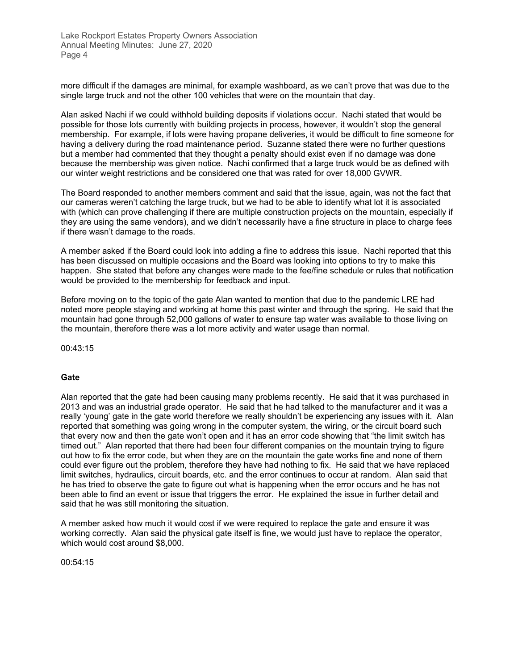more difficult if the damages are minimal, for example washboard, as we can't prove that was due to the single large truck and not the other 100 vehicles that were on the mountain that day.

Alan asked Nachi if we could withhold building deposits if violations occur. Nachi stated that would be possible for those lots currently with building projects in process, however, it wouldn't stop the general membership. For example, if lots were having propane deliveries, it would be difficult to fine someone for having a delivery during the road maintenance period. Suzanne stated there were no further questions but a member had commented that they thought a penalty should exist even if no damage was done because the membership was given notice. Nachi confirmed that a large truck would be as defined with our winter weight restrictions and be considered one that was rated for over 18,000 GVWR.

The Board responded to another members comment and said that the issue, again, was not the fact that our cameras weren't catching the large truck, but we had to be able to identify what lot it is associated with (which can prove challenging if there are multiple construction projects on the mountain, especially if they are using the same vendors), and we didn't necessarily have a fine structure in place to charge fees if there wasn't damage to the roads.

A member asked if the Board could look into adding a fine to address this issue. Nachi reported that this has been discussed on multiple occasions and the Board was looking into options to try to make this happen. She stated that before any changes were made to the fee/fine schedule or rules that notification would be provided to the membership for feedback and input.

Before moving on to the topic of the gate Alan wanted to mention that due to the pandemic LRE had noted more people staying and working at home this past winter and through the spring. He said that the mountain had gone through 52,000 gallons of water to ensure tap water was available to those living on the mountain, therefore there was a lot more activity and water usage than normal.

00:43:15

#### **Gate**

Alan reported that the gate had been causing many problems recently. He said that it was purchased in 2013 and was an industrial grade operator. He said that he had talked to the manufacturer and it was a really 'young' gate in the gate world therefore we really shouldn't be experiencing any issues with it. Alan reported that something was going wrong in the computer system, the wiring, or the circuit board such that every now and then the gate won't open and it has an error code showing that "the limit switch has timed out." Alan reported that there had been four different companies on the mountain trying to figure out how to fix the error code, but when they are on the mountain the gate works fine and none of them could ever figure out the problem, therefore they have had nothing to fix. He said that we have replaced limit switches, hydraulics, circuit boards, etc. and the error continues to occur at random. Alan said that he has tried to observe the gate to figure out what is happening when the error occurs and he has not been able to find an event or issue that triggers the error. He explained the issue in further detail and said that he was still monitoring the situation.

A member asked how much it would cost if we were required to replace the gate and ensure it was working correctly. Alan said the physical gate itself is fine, we would just have to replace the operator, which would cost around \$8,000.

00:54:15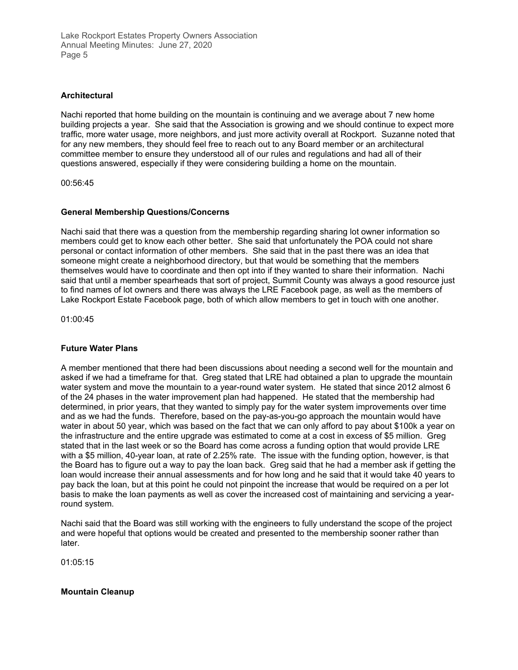#### **Architectural**

Nachi reported that home building on the mountain is continuing and we average about 7 new home building projects a year. She said that the Association is growing and we should continue to expect more traffic, more water usage, more neighbors, and just more activity overall at Rockport. Suzanne noted that for any new members, they should feel free to reach out to any Board member or an architectural committee member to ensure they understood all of our rules and regulations and had all of their questions answered, especially if they were considering building a home on the mountain.

00:56:45

#### **General Membership Questions/Concerns**

Nachi said that there was a question from the membership regarding sharing lot owner information so members could get to know each other better. She said that unfortunately the POA could not share personal or contact information of other members. She said that in the past there was an idea that someone might create a neighborhood directory, but that would be something that the members themselves would have to coordinate and then opt into if they wanted to share their information. Nachi said that until a member spearheads that sort of project, Summit County was always a good resource just to find names of lot owners and there was always the LRE Facebook page, as well as the members of Lake Rockport Estate Facebook page, both of which allow members to get in touch with one another.

01:00:45

#### **Future Water Plans**

A member mentioned that there had been discussions about needing a second well for the mountain and asked if we had a timeframe for that. Greg stated that LRE had obtained a plan to upgrade the mountain water system and move the mountain to a year-round water system. He stated that since 2012 almost 6 of the 24 phases in the water improvement plan had happened. He stated that the membership had determined, in prior years, that they wanted to simply pay for the water system improvements over time and as we had the funds. Therefore, based on the pay-as-you-go approach the mountain would have water in about 50 year, which was based on the fact that we can only afford to pay about \$100k a year on the infrastructure and the entire upgrade was estimated to come at a cost in excess of \$5 million. Greg stated that in the last week or so the Board has come across a funding option that would provide LRE with a \$5 million, 40-year loan, at rate of 2.25% rate. The issue with the funding option, however, is that the Board has to figure out a way to pay the loan back. Greg said that he had a member ask if getting the loan would increase their annual assessments and for how long and he said that it would take 40 years to pay back the loan, but at this point he could not pinpoint the increase that would be required on a per lot basis to make the loan payments as well as cover the increased cost of maintaining and servicing a yearround system.

Nachi said that the Board was still working with the engineers to fully understand the scope of the project and were hopeful that options would be created and presented to the membership sooner rather than later.

01:05:15

**Mountain Cleanup**